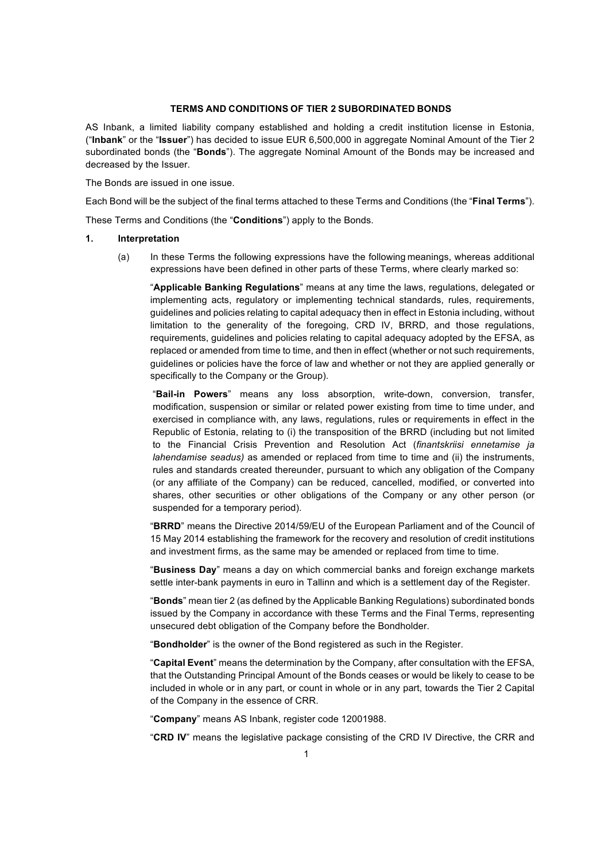## **TERMS AND CONDITIONS OF TIER 2 SUBORDINATED BONDS**

AS Inbank, a limited liability company established and holding a credit institution license in Estonia, ("**Inbank**" or the "**Issuer**") has decided to issue EUR 6,500,000 in aggregate Nominal Amount of the Tier 2 subordinated bonds (the "**Bonds**"). The aggregate Nominal Amount of the Bonds may be increased and decreased by the Issuer.

The Bonds are issued in one issue.

Each Bond will be the subject of the final terms attached to these Terms and Conditions (the "**Final Terms**").

These Terms and Conditions (the "**Conditions**") apply to the Bonds.

### **1. Interpretation**

(a) In these Terms the following expressions have the following meanings, whereas additional expressions have been defined in other parts of these Terms, where clearly marked so:

"**Applicable Banking Regulations**" means at any time the laws, regulations, delegated or implementing acts, regulatory or implementing technical standards, rules, requirements, guidelines and policies relating to capital adequacy then in effect in Estonia including, without limitation to the generality of the foregoing, CRD IV, BRRD, and those regulations, requirements, guidelines and policies relating to capital adequacy adopted by the EFSA, as replaced or amended from time to time, and then in effect (whether or not such requirements, guidelines or policies have the force of law and whether or not they are applied generally or specifically to the Company or the Group).

"**Bail-in Powers**" means any loss absorption, write-down, conversion, transfer, modification, suspension or similar or related power existing from time to time under, and exercised in compliance with, any laws, regulations, rules or requirements in effect in the Republic of Estonia, relating to (i) the transposition of the BRRD (including but not limited to the Financial Crisis Prevention and Resolution Act (*finantskriisi ennetamise ja lahendamise seadus)* as amended or replaced from time to time and (ii) the instruments, rules and standards created thereunder, pursuant to which any obligation of the Company (or any affiliate of the Company) can be reduced, cancelled, modified, or converted into shares, other securities or other obligations of the Company or any other person (or suspended for a temporary period).

"**BRRD**" means the Directive 2014/59/EU of the European Parliament and of the Council of 15 May 2014 establishing the framework for the recovery and resolution of credit institutions and investment firms, as the same may be amended or replaced from time to time.

"**Business Day**" means a day on which commercial banks and foreign exchange markets settle inter-bank payments in euro in Tallinn and which is a settlement day of the Register.

"**Bonds**" mean tier 2 (as defined by the Applicable Banking Regulations) subordinated bonds issued by the Company in accordance with these Terms and the Final Terms, representing unsecured debt obligation of the Company before the Bondholder.

"**Bondholder**" is the owner of the Bond registered as such in the Register.

"**Capital Event**" means the determination by the Company, after consultation with the EFSA, that the Outstanding Principal Amount of the Bonds ceases or would be likely to cease to be included in whole or in any part, or count in whole or in any part, towards the Tier 2 Capital of the Company in the essence of CRR.

"**Company**" means AS Inbank, register code 12001988.

"**CRD IV**" means the legislative package consisting of the CRD IV Directive, the CRR and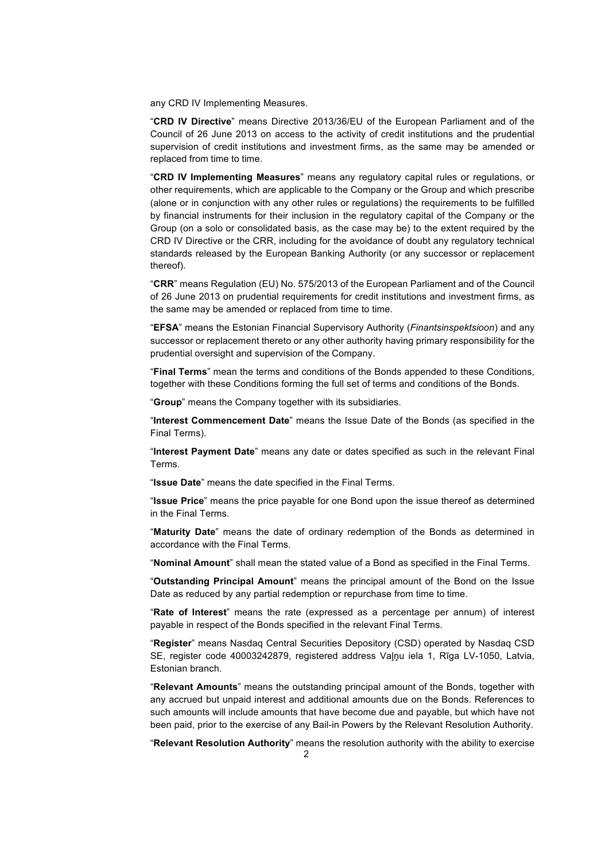any CRD IV Implementing Measures.

"**CRD IV Directive**" means Directive 2013/36/EU of the European Parliament and of the Council of 26 June 2013 on access to the activity of credit institutions and the prudential supervision of credit institutions and investment firms, as the same may be amended or replaced from time to time.

"**CRD IV Implementing Measures**" means any regulatory capital rules or regulations, or other requirements, which are applicable to the Company or the Group and which prescribe (alone or in conjunction with any other rules or regulations) the requirements to be fulfilled by financial instruments for their inclusion in the regulatory capital of the Company or the Group (on a solo or consolidated basis, as the case may be) to the extent required by the CRD IV Directive or the CRR, including for the avoidance of doubt any regulatory technical standards released by the European Banking Authority (or any successor or replacement thereof).

"**CRR**" means Regulation (EU) No. 575/2013 of the European Parliament and of the Council of 26 June 2013 on prudential requirements for credit institutions and investment firms, as the same may be amended or replaced from time to time.

"**EFSA**" means the Estonian Financial Supervisory Authority (*Finantsinspektsioon*) and any successor or replacement thereto or any other authority having primary responsibility for the prudential oversight and supervision of the Company.

"**Final Terms**" mean the terms and conditions of the Bonds appended to these Conditions, together with these Conditions forming the full set of terms and conditions of the Bonds.

"**Group**" means the Company together with its subsidiaries.

"**Interest Commencement Date**" means the Issue Date of the Bonds (as specified in the Final Terms).

"**Interest Payment Date**" means any date or dates specified as such in the relevant Final Terms.

"**Issue Date**" means the date specified in the Final Terms.

"**Issue Price**" means the price payable for one Bond upon the issue thereof as determined in the Final Terms.

"**Maturity Date**" means the date of ordinary redemption of the Bonds as determined in accordance with the Final Terms.

"**Nominal Amount**" shall mean the stated value of a Bond as specified in the Final Terms.

"**Outstanding Principal Amount**" means the principal amount of the Bond on the Issue Date as reduced by any partial redemption or repurchase from time to time.

"**Rate of Interest**" means the rate (expressed as a percentage per annum) of interest payable in respect of the Bonds specified in the relevant Final Terms.

"**Register**" means Nasdaq Central Securities Depository (CSD) operated by Nasdaq CSD SE, register code 40003242879, registered address Valnu iela 1, Rīga LV-1050, Latvia, Estonian branch.

"**Relevant Amounts**" means the outstanding principal amount of the Bonds, together with any accrued but unpaid interest and additional amounts due on the Bonds. References to such amounts will include amounts that have become due and payable, but which have not been paid, prior to the exercise of any Bail-in Powers by the Relevant Resolution Authority.

"**Relevant Resolution Authority**" means the resolution authority with the ability to exercise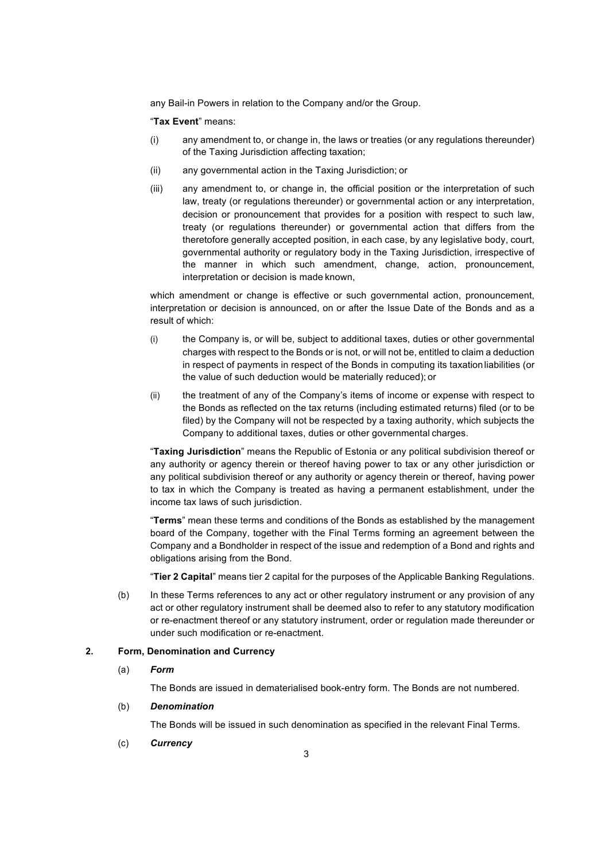any Bail-in Powers in relation to the Company and/or the Group.

"**Tax Event**" means:

- (i) any amendment to, or change in, the laws or treaties (or any regulations thereunder) of the Taxing Jurisdiction affecting taxation;
- (ii) any governmental action in the Taxing Jurisdiction; or
- (iii) any amendment to, or change in, the official position or the interpretation of such law, treaty (or regulations thereunder) or governmental action or any interpretation, decision or pronouncement that provides for a position with respect to such law, treaty (or regulations thereunder) or governmental action that differs from the theretofore generally accepted position, in each case, by any legislative body, court, governmental authority or regulatory body in the Taxing Jurisdiction, irrespective of the manner in which such amendment, change, action, pronouncement, interpretation or decision is made known,

which amendment or change is effective or such governmental action, pronouncement, interpretation or decision is announced, on or after the Issue Date of the Bonds and as a result of which:

- (i) the Company is, or will be, subject to additional taxes, duties or other governmental charges with respect to the Bonds or is not, or will not be, entitled to claim a deduction in respect of payments in respect of the Bonds in computing its taxationliabilities (or the value of such deduction would be materially reduced); or
- (ii) the treatment of any of the Company's items of income or expense with respect to the Bonds as reflected on the tax returns (including estimated returns) filed (or to be filed) by the Company will not be respected by a taxing authority, which subjects the Company to additional taxes, duties or other governmental charges.

"**Taxing Jurisdiction**" means the Republic of Estonia or any political subdivision thereof or any authority or agency therein or thereof having power to tax or any other jurisdiction or any political subdivision thereof or any authority or agency therein or thereof, having power to tax in which the Company is treated as having a permanent establishment, under the income tax laws of such jurisdiction.

"**Terms**" mean these terms and conditions of the Bonds as established by the management board of the Company, together with the Final Terms forming an agreement between the Company and a Bondholder in respect of the issue and redemption of a Bond and rights and obligations arising from the Bond.

"**Tier 2 Capital**" means tier 2 capital for the purposes of the Applicable Banking Regulations.

(b) In these Terms references to any act or other regulatory instrument or any provision of any act or other regulatory instrument shall be deemed also to refer to any statutory modification or re-enactment thereof or any statutory instrument, order or regulation made thereunder or under such modification or re-enactment.

### **2. Form, Denomination and Currency**

(a) *Form*

The Bonds are issued in dematerialised book-entry form. The Bonds are not numbered.

## (b) *Denomination*

The Bonds will be issued in such denomination as specified in the relevant Final Terms.

(c) *Currency*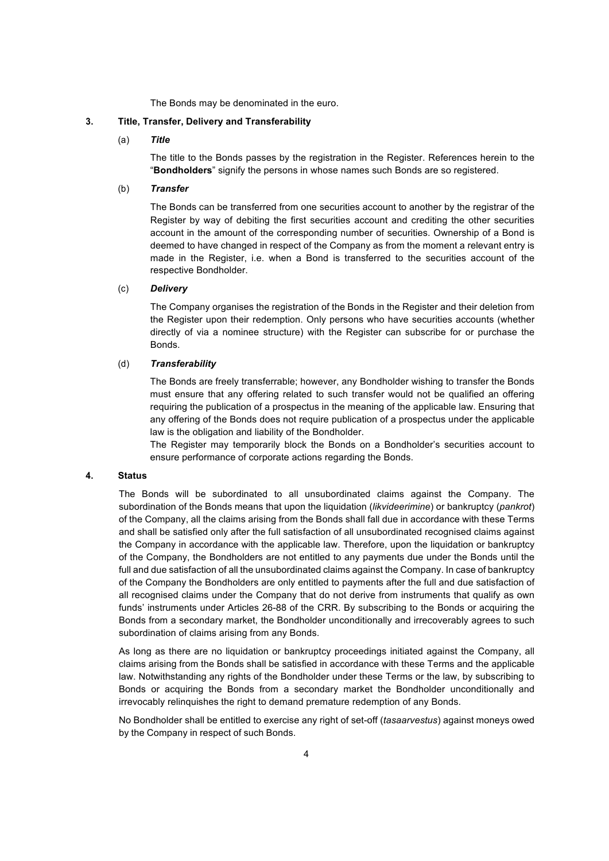The Bonds may be denominated in the euro.

## **3. Title, Transfer, Delivery and Transferability**

(a) *Title*

The title to the Bonds passes by the registration in the Register. References herein to the "**Bondholders**" signify the persons in whose names such Bonds are so registered.

#### (b) *Transfer*

The Bonds can be transferred from one securities account to another by the registrar of the Register by way of debiting the first securities account and crediting the other securities account in the amount of the corresponding number of securities. Ownership of a Bond is deemed to have changed in respect of the Company as from the moment a relevant entry is made in the Register, i.e. when a Bond is transferred to the securities account of the respective Bondholder.

## (c) *Delivery*

The Company organises the registration of the Bonds in the Register and their deletion from the Register upon their redemption. Only persons who have securities accounts (whether directly of via a nominee structure) with the Register can subscribe for or purchase the Bonds.

## (d) *Transferability*

The Bonds are freely transferrable; however, any Bondholder wishing to transfer the Bonds must ensure that any offering related to such transfer would not be qualified an offering requiring the publication of a prospectus in the meaning of the applicable law. Ensuring that any offering of the Bonds does not require publication of a prospectus under the applicable law is the obligation and liability of the Bondholder.

The Register may temporarily block the Bonds on a Bondholder's securities account to ensure performance of corporate actions regarding the Bonds.

## **4. Status**

The Bonds will be subordinated to all unsubordinated claims against the Company. The subordination of the Bonds means that upon the liquidation (*likvideerimine*) or bankruptcy (*pankrot*) of the Company, all the claims arising from the Bonds shall fall due in accordance with these Terms and shall be satisfied only after the full satisfaction of all unsubordinated recognised claims against the Company in accordance with the applicable law. Therefore, upon the liquidation or bankruptcy of the Company, the Bondholders are not entitled to any payments due under the Bonds until the full and due satisfaction of all the unsubordinated claims against the Company. In case of bankruptcy of the Company the Bondholders are only entitled to payments after the full and due satisfaction of all recognised claims under the Company that do not derive from instruments that qualify as own funds' instruments under Articles 26-88 of the CRR. By subscribing to the Bonds or acquiring the Bonds from a secondary market, the Bondholder unconditionally and irrecoverably agrees to such subordination of claims arising from any Bonds.

As long as there are no liquidation or bankruptcy proceedings initiated against the Company, all claims arising from the Bonds shall be satisfied in accordance with these Terms and the applicable law. Notwithstanding any rights of the Bondholder under these Terms or the law, by subscribing to Bonds or acquiring the Bonds from a secondary market the Bondholder unconditionally and irrevocably relinquishes the right to demand premature redemption of any Bonds.

No Bondholder shall be entitled to exercise any right of set-off (*tasaarvestus*) against moneys owed by the Company in respect of such Bonds.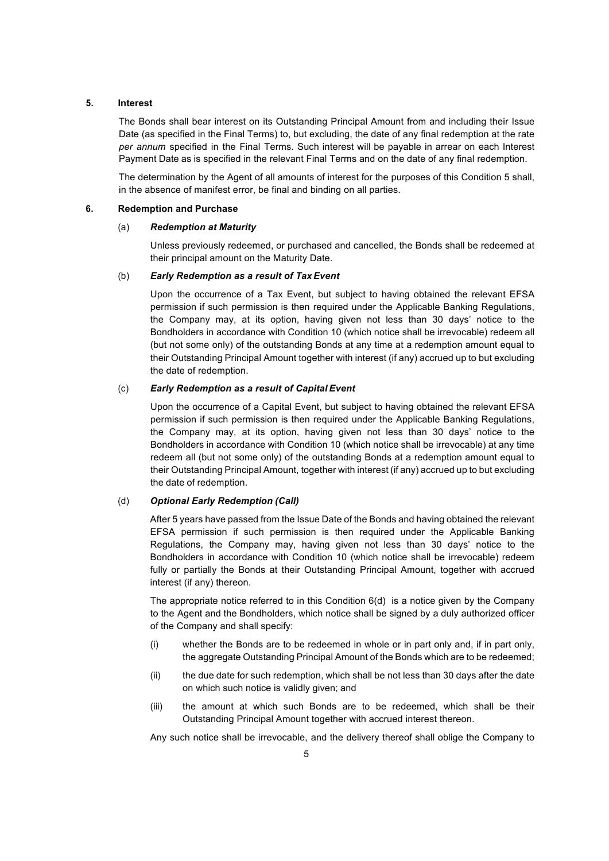#### **5. Interest**

The Bonds shall bear interest on its Outstanding Principal Amount from and including their Issue Date (as specified in the Final Terms) to, but excluding, the date of any final redemption at the rate *per annum* specified in the Final Terms. Such interest will be payable in arrear on each Interest Payment Date as is specified in the relevant Final Terms and on the date of any final redemption.

The determination by the Agent of all amounts of interest for the purposes of this Condition 5 shall, in the absence of manifest error, be final and binding on all parties.

## **6. Redemption and Purchase**

#### (a) *Redemption at Maturity*

Unless previously redeemed, or purchased and cancelled, the Bonds shall be redeemed at their principal amount on the Maturity Date.

## (b) *Early Redemption as a result of TaxEvent*

Upon the occurrence of a Tax Event, but subject to having obtained the relevant EFSA permission if such permission is then required under the Applicable Banking Regulations, the Company may, at its option, having given not less than 30 days' notice to the Bondholders in accordance with Condition 10 (which notice shall be irrevocable) redeem all (but not some only) of the outstanding Bonds at any time at a redemption amount equal to their Outstanding Principal Amount together with interest (if any) accrued up to but excluding the date of redemption.

## (c) *Early Redemption as a result of Capital Event*

Upon the occurrence of a Capital Event, but subject to having obtained the relevant EFSA permission if such permission is then required under the Applicable Banking Regulations, the Company may, at its option, having given not less than 30 days' notice to the Bondholders in accordance with Condition 10 (which notice shall be irrevocable) at any time redeem all (but not some only) of the outstanding Bonds at a redemption amount equal to their Outstanding Principal Amount, together with interest (if any) accrued up to but excluding the date of redemption.

#### (d) *Optional Early Redemption (Call)*

After 5 years have passed from the Issue Date of the Bonds and having obtained the relevant EFSA permission if such permission is then required under the Applicable Banking Regulations, the Company may, having given not less than 30 days' notice to the Bondholders in accordance with Condition 10 (which notice shall be irrevocable) redeem fully or partially the Bonds at their Outstanding Principal Amount, together with accrued interest (if any) thereon.

The appropriate notice referred to in this Condition 6(d) is a notice given by the Company to the Agent and the Bondholders, which notice shall be signed by a duly authorized officer of the Company and shall specify:

- (i) whether the Bonds are to be redeemed in whole or in part only and, if in part only, the aggregate Outstanding Principal Amount of the Bonds which are to be redeemed;
- (ii) the due date for such redemption, which shall be not less than 30 days after the date on which such notice is validly given; and
- (iii) the amount at which such Bonds are to be redeemed, which shall be their Outstanding Principal Amount together with accrued interest thereon.

Any such notice shall be irrevocable, and the delivery thereof shall oblige the Company to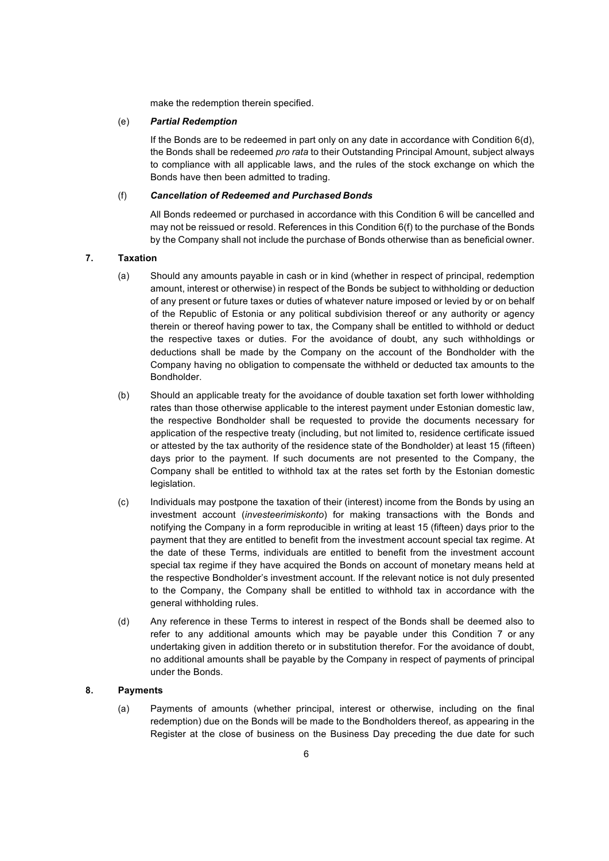make the redemption therein specified.

#### (e) *Partial Redemption*

If the Bonds are to be redeemed in part only on any date in accordance with Condition 6(d), the Bonds shall be redeemed *pro rata* to their Outstanding Principal Amount, subject always to compliance with all applicable laws, and the rules of the stock exchange on which the Bonds have then been admitted to trading.

## (f) *Cancellation of Redeemed and Purchased Bonds*

All Bonds redeemed or purchased in accordance with this Condition 6 will be cancelled and may not be reissued or resold. References in this Condition 6(f) to the purchase of the Bonds by the Company shall not include the purchase of Bonds otherwise than as beneficial owner.

## **7. Taxation**

- (a) Should any amounts payable in cash or in kind (whether in respect of principal, redemption amount, interest or otherwise) in respect of the Bonds be subject to withholding or deduction of any present or future taxes or duties of whatever nature imposed or levied by or on behalf of the Republic of Estonia or any political subdivision thereof or any authority or agency therein or thereof having power to tax, the Company shall be entitled to withhold or deduct the respective taxes or duties. For the avoidance of doubt, any such withholdings or deductions shall be made by the Company on the account of the Bondholder with the Company having no obligation to compensate the withheld or deducted tax amounts to the Bondholder.
- (b) Should an applicable treaty for the avoidance of double taxation set forth lower withholding rates than those otherwise applicable to the interest payment under Estonian domestic law, the respective Bondholder shall be requested to provide the documents necessary for application of the respective treaty (including, but not limited to, residence certificate issued or attested by the tax authority of the residence state of the Bondholder) at least 15 (fifteen) days prior to the payment. If such documents are not presented to the Company, the Company shall be entitled to withhold tax at the rates set forth by the Estonian domestic legislation.
- (c) Individuals may postpone the taxation of their (interest) income from the Bonds by using an investment account (*investeerimiskonto*) for making transactions with the Bonds and notifying the Company in a form reproducible in writing at least 15 (fifteen) days prior to the payment that they are entitled to benefit from the investment account special tax regime. At the date of these Terms, individuals are entitled to benefit from the investment account special tax regime if they have acquired the Bonds on account of monetary means held at the respective Bondholder's investment account. If the relevant notice is not duly presented to the Company, the Company shall be entitled to withhold tax in accordance with the general withholding rules.
- (d) Any reference in these Terms to interest in respect of the Bonds shall be deemed also to refer to any additional amounts which may be payable under this Condition 7 or any undertaking given in addition thereto or in substitution therefor. For the avoidance of doubt, no additional amounts shall be payable by the Company in respect of payments of principal under the Bonds.

## **8. Payments**

(a) Payments of amounts (whether principal, interest or otherwise, including on the final redemption) due on the Bonds will be made to the Bondholders thereof, as appearing in the Register at the close of business on the Business Day preceding the due date for such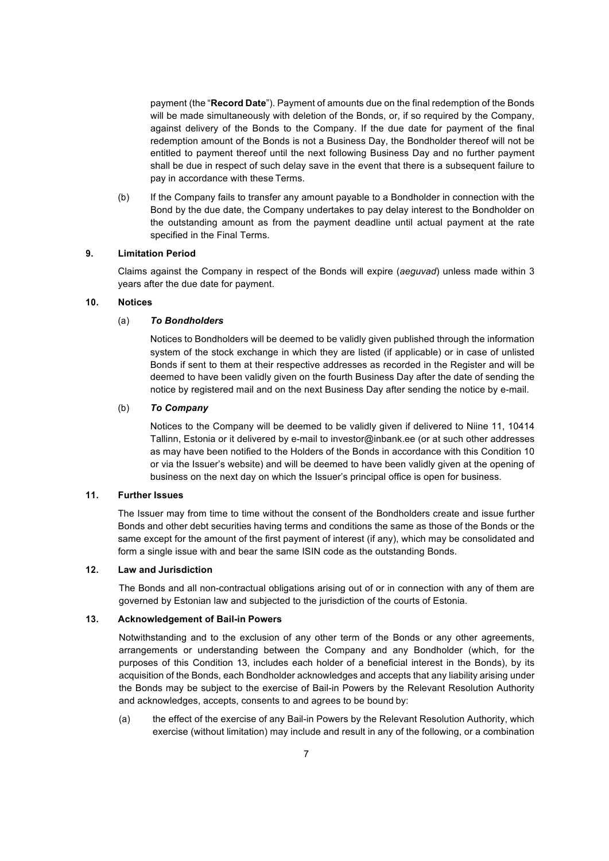payment (the "**Record Date**"). Payment of amounts due on the final redemption of the Bonds will be made simultaneously with deletion of the Bonds, or, if so required by the Company, against delivery of the Bonds to the Company. If the due date for payment of the final redemption amount of the Bonds is not a Business Day, the Bondholder thereof will not be entitled to payment thereof until the next following Business Day and no further payment shall be due in respect of such delay save in the event that there is a subsequent failure to pay in accordance with these Terms.

(b) If the Company fails to transfer any amount payable to a Bondholder in connection with the Bond by the due date, the Company undertakes to pay delay interest to the Bondholder on the outstanding amount as from the payment deadline until actual payment at the rate specified in the Final Terms.

## **9. Limitation Period**

Claims against the Company in respect of the Bonds will expire (*aeguvad*) unless made within 3 years after the due date for payment.

## **10. Notices**

## (a) *To Bondholders*

Notices to Bondholders will be deemed to be validly given published through the information system of the stock exchange in which they are listed (if applicable) or in case of unlisted Bonds if sent to them at their respective addresses as recorded in the Register and will be deemed to have been validly given on the fourth Business Day after the date of sending the notice by registered mail and on the next Business Day after sending the notice by e-mail.

## (b) *To Company*

Notices to the Company will be deemed to be validly given if delivered to Niine 11, 10414 Tallinn, Estonia or it delivered by e-mail to investor@inbank.ee (or at such other addresses as may have been notified to the Holders of the Bonds in accordance with this Condition 10 or via the Issuer's website) and will be deemed to have been validly given at the opening of business on the next day on which the Issuer's principal office is open for business.

## **11. Further Issues**

The Issuer may from time to time without the consent of the Bondholders create and issue further Bonds and other debt securities having terms and conditions the same as those of the Bonds or the same except for the amount of the first payment of interest (if any), which may be consolidated and form a single issue with and bear the same ISIN code as the outstanding Bonds.

#### **12. Law and Jurisdiction**

The Bonds and all non-contractual obligations arising out of or in connection with any of them are governed by Estonian law and subjected to the jurisdiction of the courts of Estonia.

#### **13. Acknowledgement of Bail-in Powers**

Notwithstanding and to the exclusion of any other term of the Bonds or any other agreements, arrangements or understanding between the Company and any Bondholder (which, for the purposes of this Condition 13, includes each holder of a beneficial interest in the Bonds), by its acquisition of the Bonds, each Bondholder acknowledges and accepts that any liability arising under the Bonds may be subject to the exercise of Bail-in Powers by the Relevant Resolution Authority and acknowledges, accepts, consents to and agrees to be bound by:

(a) the effect of the exercise of any Bail-in Powers by the Relevant Resolution Authority, which exercise (without limitation) may include and result in any of the following, or a combination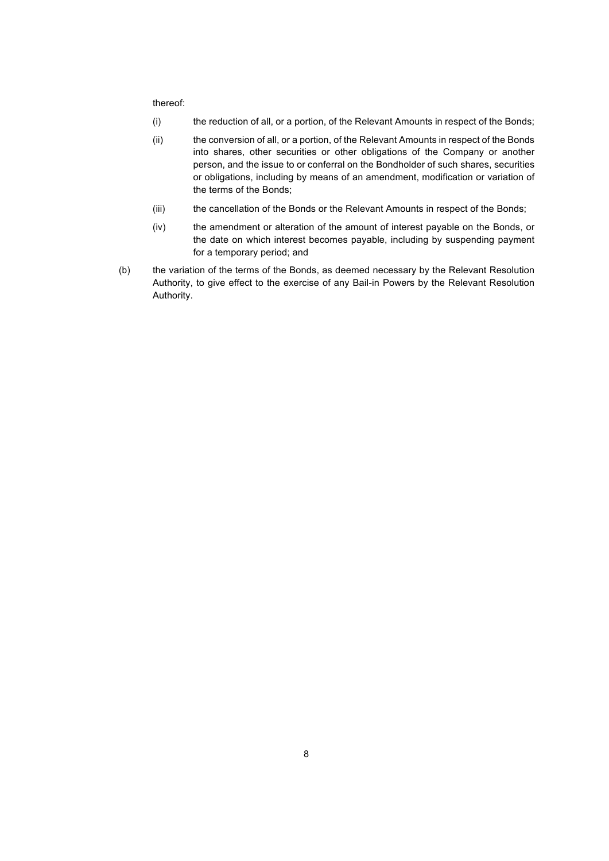#### thereof:

- (i) the reduction of all, or a portion, of the Relevant Amounts in respect of the Bonds;
- (ii) the conversion of all, or a portion, of the Relevant Amounts in respect of the Bonds into shares, other securities or other obligations of the Company or another person, and the issue to or conferral on the Bondholder of such shares, securities or obligations, including by means of an amendment, modification or variation of the terms of the Bonds;
- (iii) the cancellation of the Bonds or the Relevant Amounts in respect of the Bonds;
- (iv) the amendment or alteration of the amount of interest payable on the Bonds, or the date on which interest becomes payable, including by suspending payment for a temporary period; and
- (b) the variation of the terms of the Bonds, as deemed necessary by the Relevant Resolution Authority, to give effect to the exercise of any Bail-in Powers by the Relevant Resolution Authority.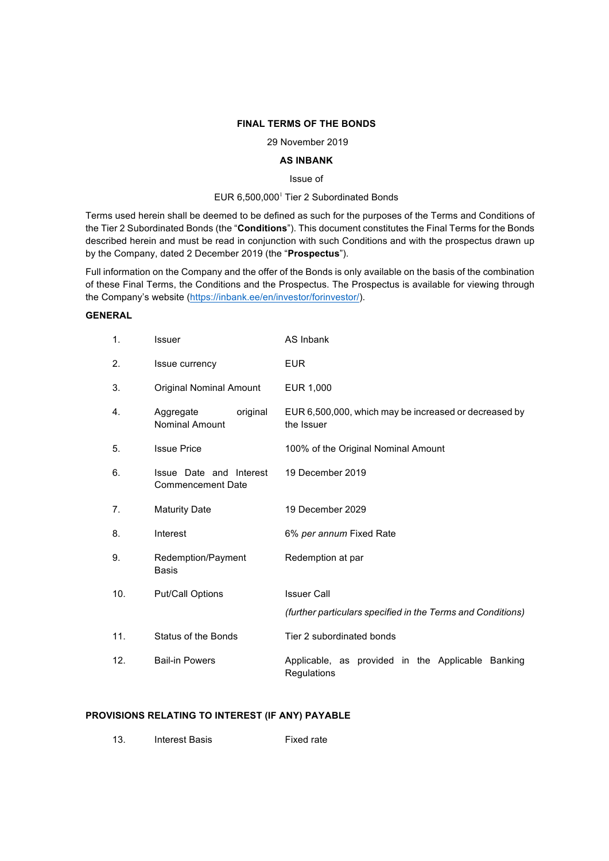## **FINAL TERMS OF THE BONDS**

29 November 2019

## **AS INBANK**

Issue of

## EUR 6,500,000<sup>1</sup> Tier 2 Subordinated Bonds

Terms used herein shall be deemed to be defined as such for the purposes of the Terms and Conditions of the Tier 2 Subordinated Bonds (the "**Conditions**"). This document constitutes the Final Terms for the Bonds described herein and must be read in conjunction with such Conditions and with the prospectus drawn up by the Company, dated 2 December 2019 (the "**Prospectus**").

Full information on the Company and the offer of the Bonds is only available on the basis of the combination of these Final Terms, the Conditions and the Prospectus. The Prospectus is available for viewing through the Company's website (https://inbank.ee/en/investor/forinvestor/).

## **GENERAL**

| 1.  | Issuer                                              | AS Inbank                                                           |
|-----|-----------------------------------------------------|---------------------------------------------------------------------|
| 2.  | Issue currency                                      | <b>EUR</b>                                                          |
| 3.  | <b>Original Nominal Amount</b>                      | EUR 1,000                                                           |
| 4.  | Aggregate<br>original<br>Nominal Amount             | EUR 6,500,000, which may be increased or decreased by<br>the Issuer |
| 5.  | <b>Issue Price</b>                                  | 100% of the Original Nominal Amount                                 |
| 6.  | Issue Date and Interest<br><b>Commencement Date</b> | 19 December 2019                                                    |
| 7.  | <b>Maturity Date</b>                                | 19 December 2029                                                    |
| 8.  | Interest                                            | 6% per annum Fixed Rate                                             |
| 9.  | Redemption/Payment<br><b>Basis</b>                  | Redemption at par                                                   |
| 10. | Put/Call Options                                    | <b>Issuer Call</b>                                                  |
|     |                                                     | (further particulars specified in the Terms and Conditions)         |
| 11. | Status of the Bonds                                 | Tier 2 subordinated bonds                                           |
| 12. | <b>Bail-in Powers</b>                               | Applicable, as provided in the Applicable Banking<br>Regulations    |

## **PROVISIONS RELATING TO INTEREST (IF ANY) PAYABLE**

| <b>Interest Basis</b><br>-13. | <b>Fixed rate</b> |
|-------------------------------|-------------------|
|                               |                   |